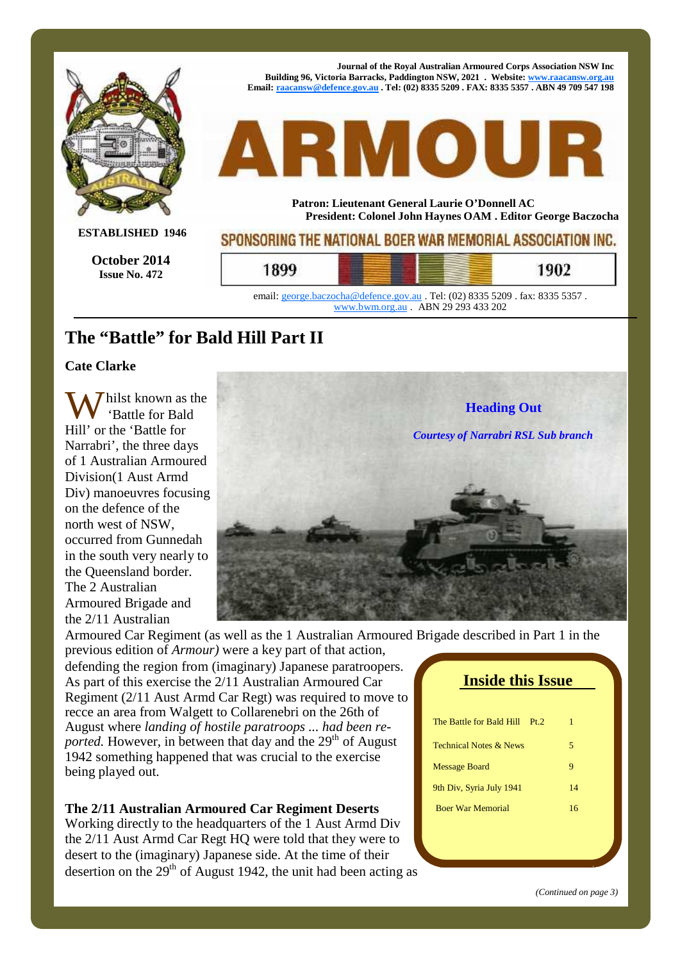

## **The "Battle" for Bald Hill Part II**

#### **Cate Clarke**

'Battle for Bald Hill' or the 'Battle for Narrabri', the three days of 1 Australian Armoured Division(1 Aust Armd Div) manoeuvres focusing on the defence of the north west of NSW, occurred from Gunnedah in the south very nearly to the Queensland border. The 2 Australian Armoured Brigade and the 2/11 Australian



Armoured Car Regiment (as well as the 1 Australian Armoured Brigade described in Part 1 in the previous edition of *Armour)* were a key part of that action,

defending the region from (imaginary) Japanese paratroopers. As part of this exercise the 2/11 Australian Armoured Car Regiment (2/11 Aust Armd Car Regt) was required to move to recce an area from Walgett to Collarenebri on the 26th of August where *landing of hostile paratroops ... had been re ported.* However, in between that day and the  $29<sup>th</sup>$  of August 1942 something happened that was crucial to the exercise being played out.

#### **The 2/11 Australian Armoured Car Regiment Deserts**

Working directly to the headquarters of the 1 Aust Armd Div the 2/11 Aust Armd Car Regt HQ were told that they were to desert to the (imaginary) Japanese side. At the time of their desertion on the  $29<sup>th</sup>$  of August 1942, the unit had been acting as

| <b>Inside this Issue</b>          |    |  |
|-----------------------------------|----|--|
|                                   |    |  |
| The Battle for Bald Hill<br>Pt 2  | 1  |  |
| <b>Technical Notes &amp; News</b> | 5  |  |
| <b>Message Board</b>              | 9  |  |
| 9th Div, Syria July 1941          | 14 |  |
| <b>Boer War Memorial</b>          | 16 |  |
|                                   |    |  |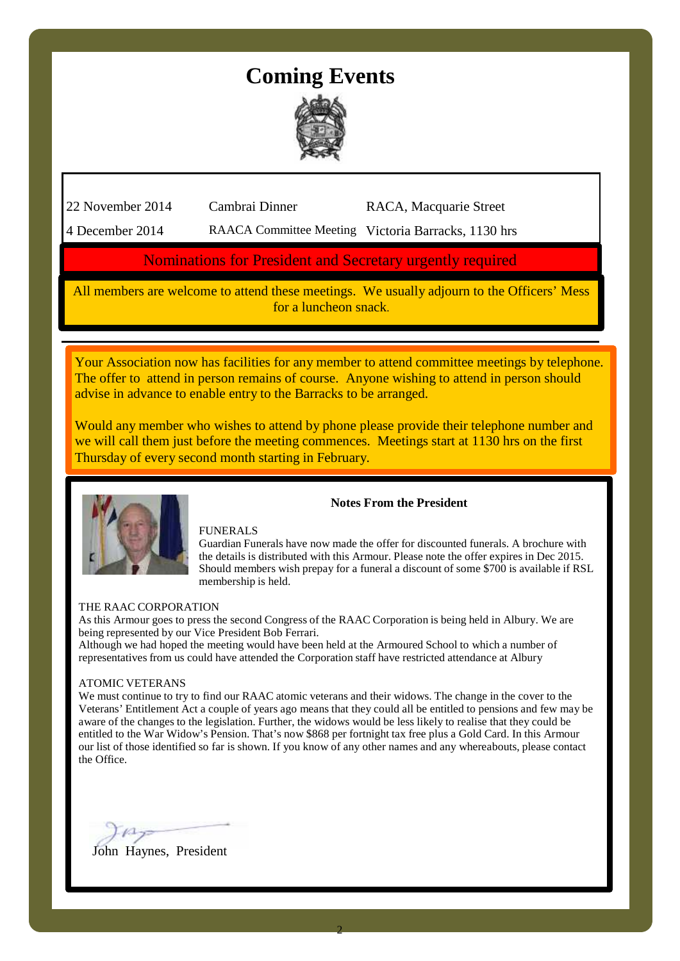## **Coming Events**



22 November 2014 Cambrai Dinner RACA, Macquarie Street

4 December 2014 RAACA Committee Meeting Victoria Barracks, 1130 hrs

#### Nominations for President and Secretary urgently required

All members are welcome to attend these meetings. We usually adjourn to the Officers' Mess for a luncheon snack.

Your Association now has facilities for any member to attend committee meetings by telephone. The offer to attend in person remains of course. Anyone wishing to attend in person should advise in advance to enable entry to the Barracks to be arranged.

Would any member who wishes to attend by phone please provide their telephone number and we will call them just before the meeting commences. Meetings start at 1130 hrs on the first Thursday of every second month starting in February.



#### FUNERALS

Guardian Funerals have now made the offer for discounted funerals. A brochure with the details is distributed with this Armour. Please note the offer expires in Dec 2015. Should members wish prepay for a funeral a discount of some  $$700$  is available if RSL membership is held.

**Notes From the President**

#### THE RAAC CORPORATION

As this Armour goes to press the second Congress of the RAAC Corporation isbeing held in Albury. We are being represented by our Vice President Bob Ferrari.

Although we had hoped the meeting would have been held at the Armoured School to which a number of representatives from us could have attended the Corporation staff have restricted attendance at Albury

#### ATOMIC VETERANS

We must continue to try to find our RAAC atomic veterans and their widows. The change in the cover to the Veterans' Entitlement Act a couple of years ago means that they could all be entitled to pensions and few may be aware of the changes to the legislation. Further, the widows would be less likely to realise that they could be entitled to the War Widow's Pension. That's now \$868 per fortnight tax free plus a Gold Card. In this Armour our list of those identified so far is shown. If you know of any other names and any whereabouts, please contact the Office.

John Haynes, President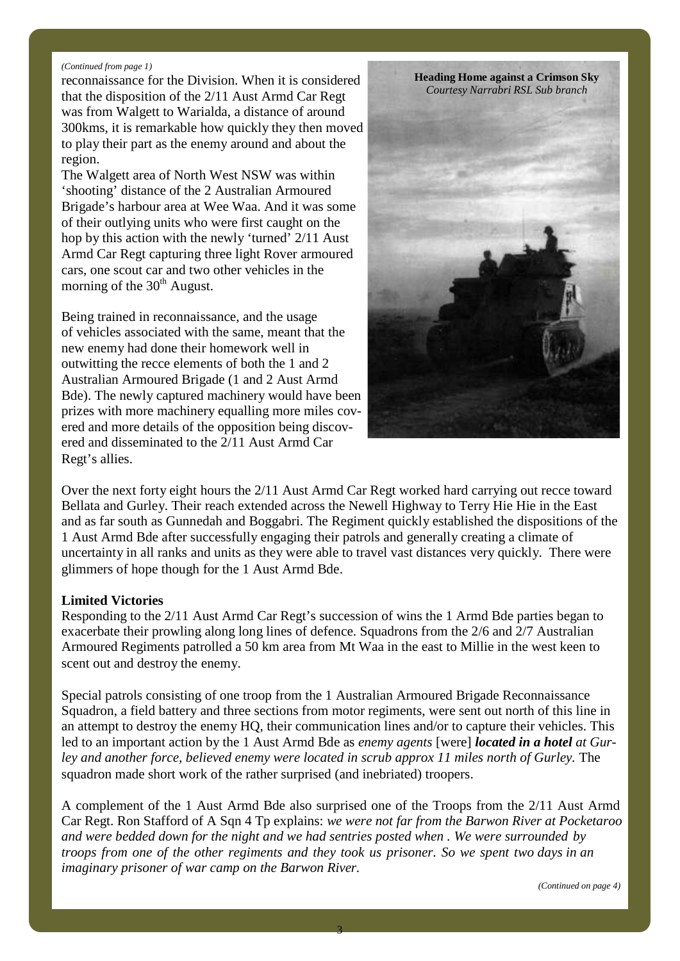#### *(Continued from page 1)*

reconnaissance for the Division. When it is considered that the disposition of the 2/11 Aust Armd Car Regt was from Walgett to Warialda, a distance of around 300kms, it is remarkable how quickly they then moved to play their part as the enemy around and about the region.

The Walgett area of North West NSW was within 'shooting' distance of the 2 Australian Armoured Brigade's harbour area at Wee Waa. And it was some of their outlying units who were first caught on the hop by this action with the newly 'turned' 2/11 Aust Armd Car Regt capturing three light Rover armoured cars, one scout car and two other vehicles in the morning of the 30<sup>th</sup> August.

Being trained in reconnaissance, and the usage of vehicles associated with the same, meant that the new enemy had done their homework well in outwitting the recce elements of both the 1 and 2 Australian Armoured Brigade (1 and 2 Aust Armd Bde). The newly captured machinery would have been prizes with more machinery equalling more miles cov ered and more details of the opposition being discov ered and disseminated to the 2/11 Aust Armd Car Regt's allies.

**Heading Home against a Crimson Sky** *Courtesy Narrabri RSL Sub branch*

Over the next forty eight hours the 2/11 Aust Armd Car Regt worked hard carrying out recce toward Bellata and Gurley. Their reach extended across the Newell Highway to Terry Hie Hie in the East and as far south as Gunnedah and Boggabri. The Regiment quickly established the dispositions of the 1 Aust Armd Bde after successfully engaging their patrols and generally creating a climate of uncertainty in all ranks and units as they were able to travel vast distances very quickly. There were glimmers of hope though for the 1 Aust Armd Bde.

#### **Limited Victories**

Responding to the 2/11 Aust Armd Car Regt's succession of wins the 1 Armd Bde parties began to exacerbate their prowling along long lines of defence. Squadrons from the 2/6 and 2/7 Australian Armoured Regiments patrolled a 50 km area from Mt Waa in the east to Millie in the west keen to scent out and destroy the enemy.

Special patrols consisting of one troop from the 1 Australian Armoured Brigade Reconnaissance Squadron, a field battery and three sections from motor regiments, were sent out north of this line in an attempt to destroy the enemy HQ, their communication lines and/or to capture their vehicles. This led to an important action by the 1 Aust Armd Bde as *enemy agents* [were] *located in a hotel at Gurley and another force, believed enemy were located in scrub approx 11 miles north of Gurley.* The squadron made short work of the rather surprised (and inebriated) troopers.

A complement of the 1 Aust Armd Bde also surprised one of the Troops from the 2/11 Aust Armd Car Regt. Ron Stafford of A Sqn 4 Tp explains: *we were not far from the Barwon River at Pocketaroo and were bedded down for the night and we had sentries posted when . We were surrounded by troops from one of the other regiments and they took us prisoner. So we spent two days in an imaginary prisoner of war camp on the Barwon River.*

*(Continued on page 4)*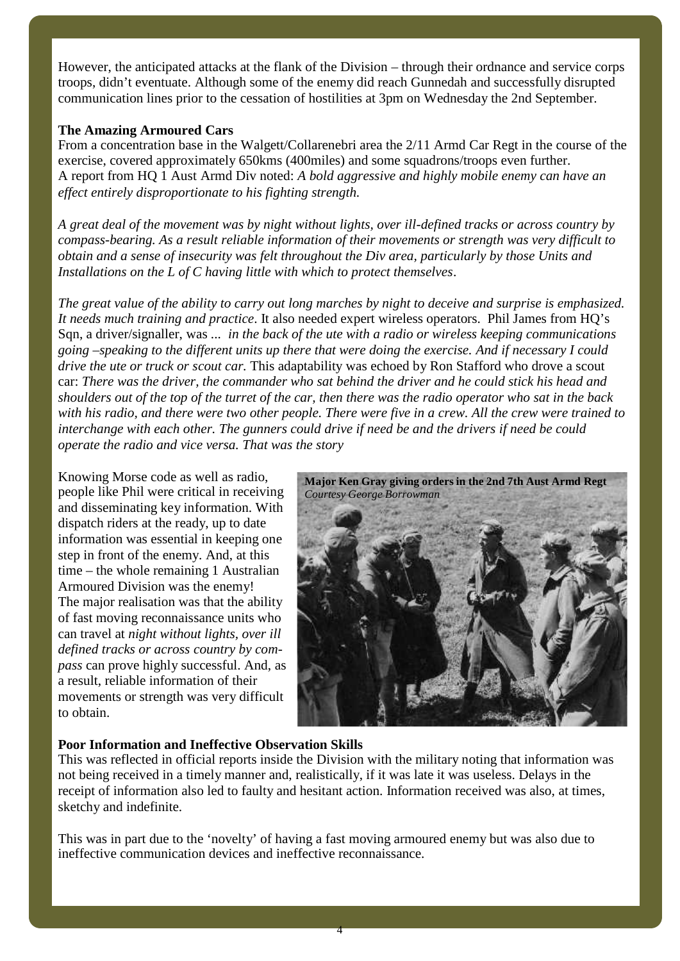However, the anticipated attacks at the flank of the Division – through their ordnance and service corps troops, didn't eventuate. Although some of the enemy did reach Gunnedah and successfully disrupted communication lines prior to the cessation of hostilities at 3pm on Wednesday the 2nd September.

#### **The Amazing Armoured Cars**

From a concentration base in the Walgett/Collarenebri area the 2/11 Armd Car Regt in the course of the exercise, covered approximately 650kms (400miles) and some squadrons/troops even further. A report from HQ 1 Aust Armd Div noted: *A bold aggressive and highly mobile enemy can have an ef ect entirely disproportionate to his fighting strength.*

*A great deal of the movement was by night without lights, over ill-defined tracks or across country by compass-bearing. As a result reliable information of their movements or strength was very dif icult to obtain and a sense of insecurity was felt throughout the Div area, particularly by those Units and Installations on the L of C having little with which to protect themselves*.

*The great value of the ability to carry out long marches by night to deceive and surprise is emphasized. It needs much training and practice*. It also needed expert wireless operators. Phil James from HQ's Sqn, a driver/signaller, was *... in the back of the ute with a radio or wireless keeping communications going –speaking to the different units up there that were doing the exercise. And if necessary I could drive the ute or truck or scout car.* This adaptability was echoed by Ron Stafford who drove a scout car: *There was the driver, the commander who sat behind the driver and he could stick his head and shoulders out of the top of the turret of the car, then there was the radio operator who sat in the back with his radio, and there were two other people. There were five in a crew. All the crew were trained to interchange with each other. The gunners could drive if need be and the drivers if need be could operate the radio and vice versa. That was the story*

Knowing Morse code as well as radio, people like Phil were critical in receiving and disseminating key information. With dispatch riders at the ready, up to date information was essential in keeping one step in front of the enemy. And, at this time – the whole remaining 1 Australian Armoured Division was the enemy! The major realisation was that the ability of fast moving reconnaissance units who can travel at *night without lights, over ill defined tracks or across country by com pass* can prove highly successful. And, as a result, reliable information of their movements or strength was very difficult to obtain.



#### **Poor Information and Ineffective Observation Skills**

This was reflected in official reports inside the Division with the military noting that information was not being received in a timely manner and, realistically, if it was late it was useless. Delays in the receipt of information also led to faulty and hesitant action. Information received was also, at times, sketchy and indefinite.

This was in part due to the 'novelty' of having a fast moving armoured enemy but was also due to ineffective communication devices and ineffective reconnaissance.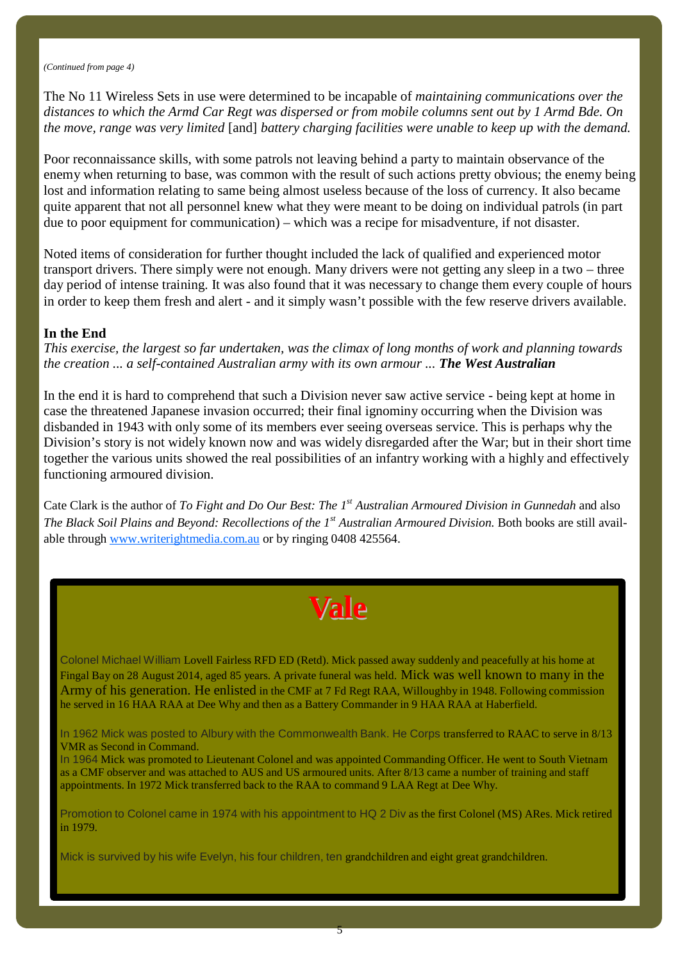The No 11 Wireless Sets in use were determined to be incapable of *maintaining communications over the distances to which the Armd Car Regt was dispersed or from mobile columns sent out by 1 Armd Bde. On the move, range was very limited* [and] *battery charging facilities were unable to keep up with the demand.*

Poor reconnaissance skills, with some patrols not leaving behind a party to maintain observance of the enemy when returning to base, was common with the result of such actions pretty obvious; the enemy being lost and information relating to same being almost useless because of the loss of currency. It also became quite apparent that not all personnel knew what they were meant to be doing on individual patrols (in part due to poor equipment for communication) – which was a recipe for misadventure, if not disaster.

Noted items of consideration for further thought included the lack of qualified and experienced motor transport drivers. There simply were not enough. Many drivers were not getting any sleep in a two – three day period of intense training. It was also found that it was necessary to change them every couple of hours in order to keep them fresh and alert - and it simply wasn't possible with the few reserve drivers available.

#### **In the End**

*This exercise, the largest so far undertaken, was the climax of long months of work and planning towards the creation ... a self-contained Australian army with its own armour ... The West Australian*

In the end it is hard to comprehend that such a Division never saw active service - being kept at home in case the threatened Japanese invasion occurred; their final ignominy occurring when the Division was disbanded in 1943 with only some of its members ever seeing overseas service. This is perhaps why the Division's story is not widely known now and was widely disregarded after the War; but in their short time together the various units showed the real possibilities of an infantry working with a highly and effectively functioning armoured division.

Cate Clark is the author of *To Fight and Do Our Best: The 1 st Australian Armoured Division in Gunnedah* and also *The Black Soil Plains and Beyond: Recollections of the 1 st Australian Armoured Division.* Both books are still avail able through www.writerightmedia.com.au or by ringing 0408 425564.

# **Vale**

Colonel Michael William Lovell Fairless RFD ED (Retd). Mick passed away suddenly and peacefully at his home at Fingal Bay on 28 August 2014, aged 85 years. A private funeral was held. Mick was well known to many in the Army of his generation. He enlisted in the CMF at 7 Fd Regt RAA, Willoughby in 1948. Following commission he served in 16 HAA RAA at Dee Why and then as a Battery Commander in 9 HAA RAA at Haberfield.

In 1962 Mick was posted to Albury with the Commonwealth Bank. He Corps transferred to RAAC to serve in 8/13 VMR as Second in Command.

In 1964 Mick was promoted to Lieutenant Colonel and was appointed Commanding Officer. He went to South Vietnam as a CMF observer and was attached to AUS and US armoured units. After 8/13 came a number of training and staff appointments. In 1972 Mick transferred back to the RAA to command 9 LAA Regt at Dee Why.

Promotion to Colonel came in 1974 with his appointment to HQ 2 Div as the first Colonel (MS) ARes. Mick retired in 1979.

 $5$ 

Mick is survived by his wife Evelyn, his four children, ten grandchildren and eight great grandchildren.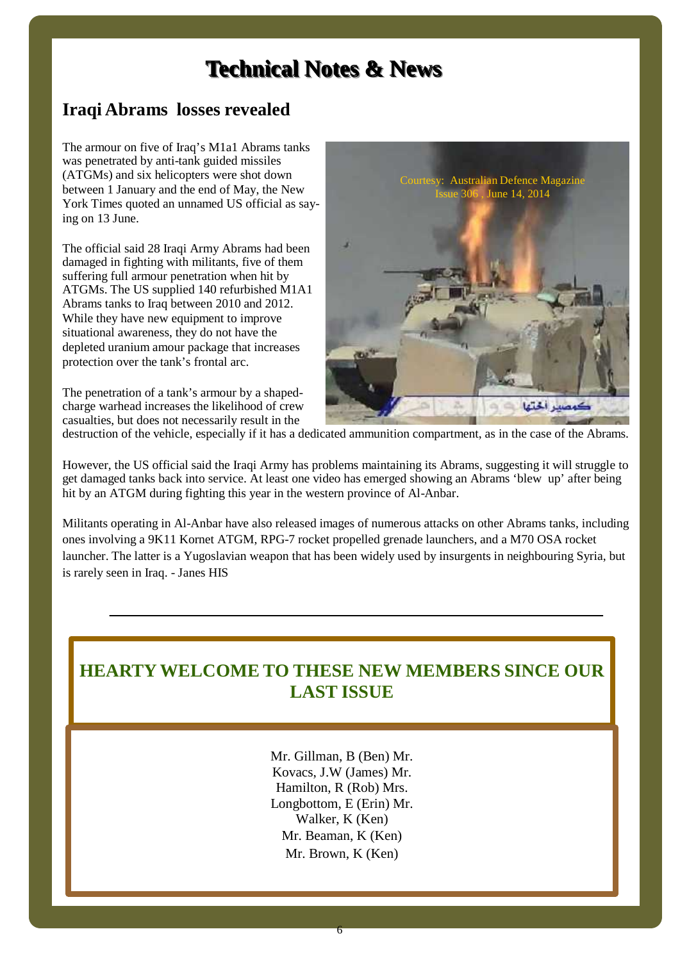# **Technical Notes & News**

### **Iraqi Abrams losses revealed**

The armour on five of Iraq's M1a1 Abrams tanks was penetrated by anti-tank guided missiles (ATGMs) and six helicopters were shot down between 1 January and the end of May, the New York Times quoted an unnamed US official as saying on 13 June.

The official said 28 Iraqi Army Abrams had been damaged in fighting with militants, five of them suffering full armour penetration when hit by ATGMs. The US supplied 140 refurbished M1A1 Abrams tanks to Iraq between 2010 and 2012. While they have new equipment to improve situational awareness, they do not have the depleted uranium amour package that increases protection over the tank's frontal arc.

The penetration of a tank's armour by a shaped charge warhead increases the likelihood of crew casualties, but does not necessarily result in the



destruction of the vehicle, especially if ithas a dedicated ammunition compartment, as in the case of the Abrams.

However, the US official said the Iraqi Army has problems maintaining its Abrams, suggesting it will struggle to get damaged tanks back into service. At least one video has emerged showing an Abrams 'blew up' after being hit by an ATGM during fighting this year in the western province of Al-Anbar.

Militants operating in Al-Anbar have also released images of numerous attacks on other Abrams tanks, including ones involving a 9K11 Kornet ATGM, RPG-7 rocket propelled grenade launchers, and a M70 OSA rocket launcher. The latter is a Yugoslavian weapon that has been widely used by insurgents in neighbouring Syria, but is rarely seen in Iraq. - Janes HIS

## **HEARTYWELCOME TO THESE NEW MEMBERS SINCE OUR LAST ISSUE**

Mr. Gillman, B (Ben) Mr. Kovacs, J.W (James) Mr. Hamilton, R (Rob) Mrs. Longbottom, E (Erin) Mr. Walker, K (Ken) Mr. Beaman, K (Ken) Mr. Brown, K (Ken)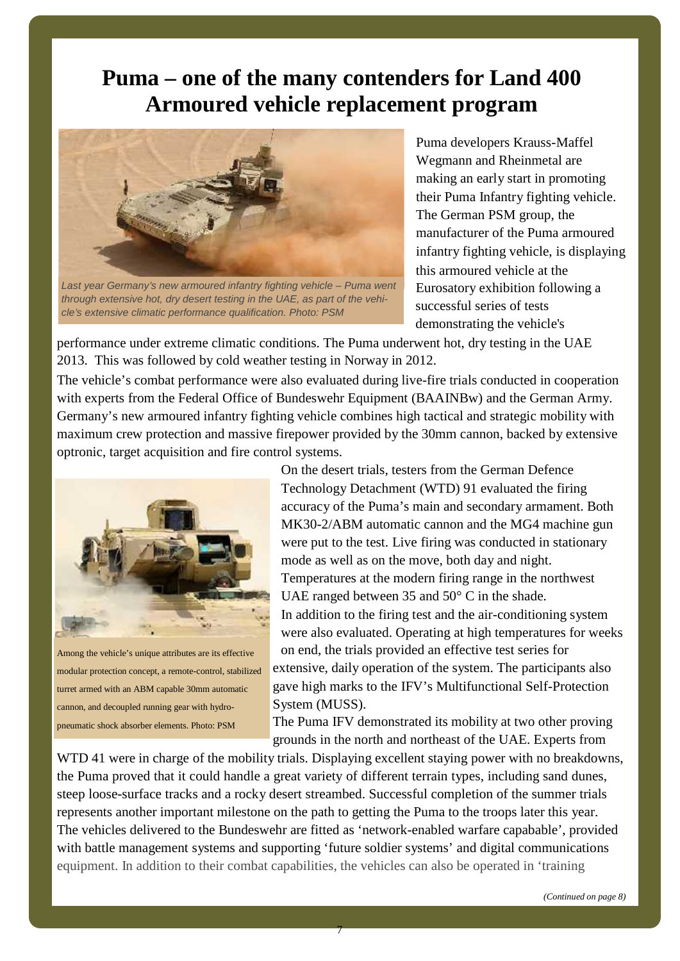## **Puma – one of the many contenders for Land 400 Armoured vehicle replacement program**



*Last year Germany's new armoured infantry fighting vehicle – Puma went through extensive hot, dry desert testing in the UAE, as part of the vehi cle's extensive climatic performance qualification. Photo: PSM*

Puma developers Krauss-Maffel Wegmann and Rheinmetal are making an early start in promoting their Puma Infantry fighting vehicle. The German PSM group, the manufacturer of the Puma armoured infantry fighting vehicle, is displaying this armoured vehicle at the Eurosatory exhibition following a successful series of tests demonstrating the vehicle's

performance under extreme climatic conditions. The Puma underwent hot, dry testing in the UAE 2013. This was followed by cold weather testing in Norway in 2012.

The vehicle's combat performance were also evaluated during live-fire trials conducted in cooperation with experts from the Federal Office of Bundeswehr Equipment (BAAINBw) and the German Army. Germany's new armoured infantry fighting vehicle combines high tactical and strategic mobility with maximum crew protection and massive firepower provided by the 30mm cannon, backed by extensive optronic, target acquisition and fire control systems.



Among the vehicle's unique attributes are its effective modular protection concept, a remote-control, stabilized turret armed with an ABM capable 30mm automatic cannon, and decoupled running gear with hydro pneumatic shock absorber elements. Photo: PSM

On the desert trials, testers from the German Defence Technology Detachment (WTD) 91 evaluated the firing accuracy of the Puma's main and secondary armament. Both MK30-2/ABM automatic cannon and the MG4 machine gun were put to the test. Live firing was conducted in stationary mode as well as on the move, both day and night. Temperatures at the modern firing range in the northwest UAE ranged between 35 and 50° C in the shade. In addition to the firing test and the air-conditioning system were also evaluated. Operating at high temperatures for weeks on end, the trials provided an effective test series for extensive, daily operation of the system. The participants also gave high marks to the IFV's Multifunctional Self-Protection System (MUSS).

The Puma IFV demonstrated its mobility at two other proving grounds in the north and northeast of the UAE. Experts from

WTD 41 were in charge of the mobility trials. Displaying excellent staying power with no breakdowns, the Puma proved that it could handle a great variety of different terrain types, including sand dunes, steep loose-surface tracks and a rocky desert streambed. Successful completion of the summer trials represents another important milestone on the path to getting the Puma to the troops later this year. The vehicles delivered to the Bundeswehr are fitted as 'network-enabled warfare capabable', provided with battle management systems and supporting 'future soldier systems' and digital communications equipment. In addition to their combat capabilities, the vehicles can also be operated in 'training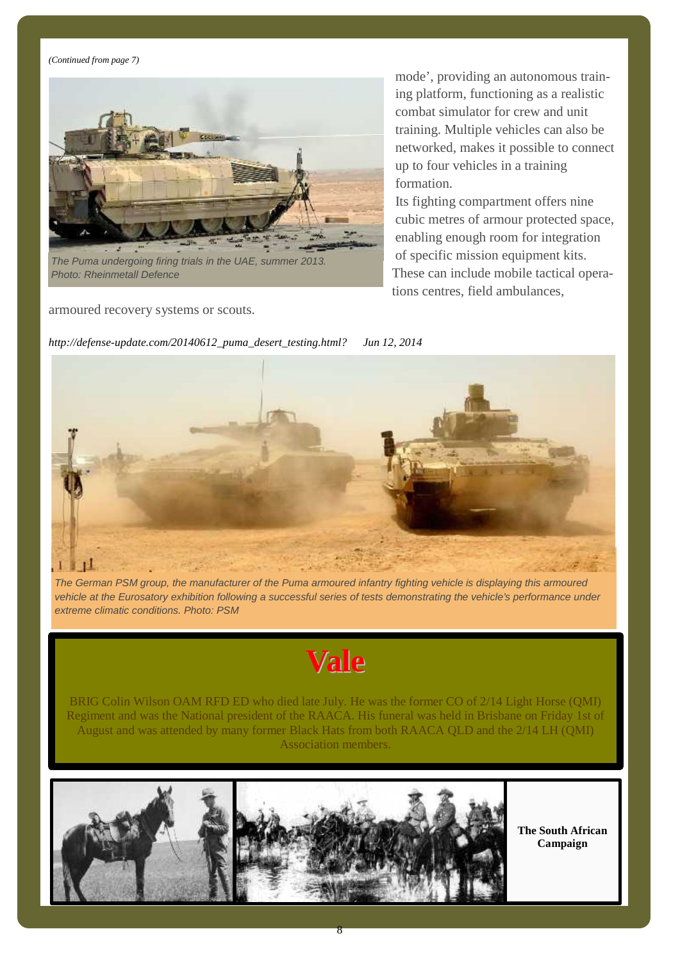*(Continued from page 7)*



*Photo: Rheinmetall Defence*

armoured recovery systems or scouts.

mode', providing an autonomous training platform, functioning as a realistic combat simulator for crew and unit training. Multiple vehicles can also be networked, makes it possible to connect up to four vehicles in a training formation.

Its fighting compartment offers nine cubic metres of armour protected space, enabling enough room for integration of specific mission equipment kits. These can include mobile tactical operations centres, field ambulances,



The German PSM group, the manufacturer of the Puma armoured infantry fighting vehicle is displaying this armoured vehicle at the Eurosatory exhibition following a successful series of tests demonstrating the vehicle's performance under *extreme climatic conditions. Photo: PSM*

# **Vale**

BRIG Colin Wilson OAM RFD ED who died late July. He was the former CO of 2/14 Light Horse (QMI) Regiment and was the National president of the RAACA. His funeral was held in Brisbane on Friday 1st of August and was attended by many former Black Hats from bothRAACA QLD and the 2/14 LH (QMI) Association members.

8



**The South African Campaign**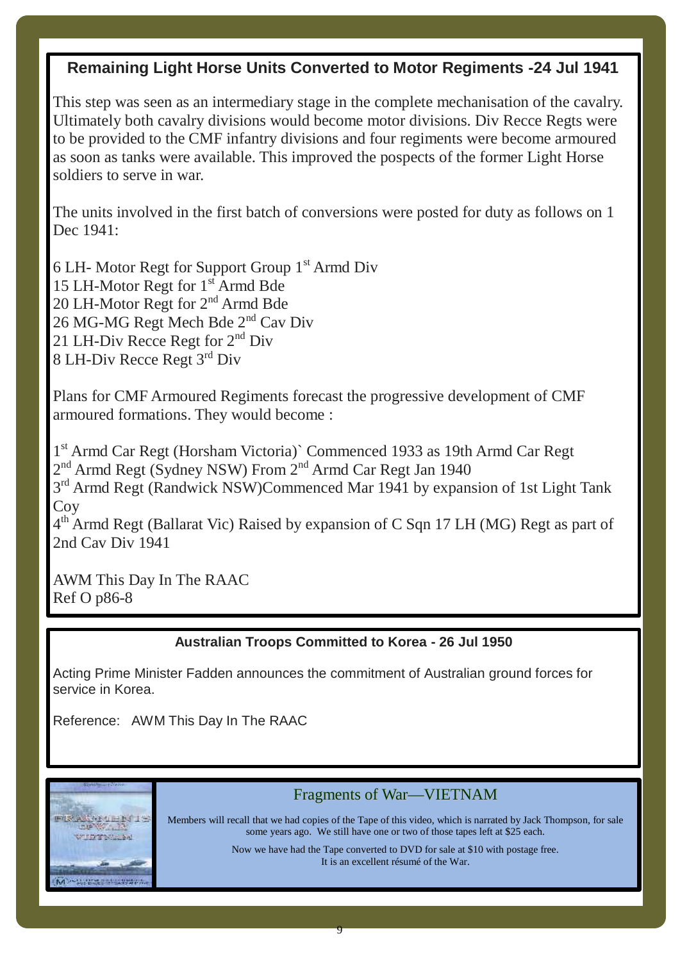## **Remaining Light Horse Units Converted to Motor Regiments -24 Jul 1941**

This step was seen as an intermediary stage in the complete mechanisation of the cavalry. Ultimately both cavalry divisions would become motor divisions. Div Recce Regts were to be provided to the CMF infantry divisions and four regiments were become armoured as soon as tanks were available. This improved the pospects of the former Light Horse soldiers to serve in war.

The units involved in the first batch of conversions were posted for duty as follows on 1 Dec 1941:

15 LH-Motor Regt for 1 st Armd Bde 26 MG-MG Regt Mech Bde 2<sup>nd</sup> Cav Div 8 LH-Div Recce Regt 3 rd Div 6 LH- Motor Regt for Support Group 1 st Armd Div 20 LH-Motor Regt for 2<sup>nd</sup> Armd Bde 21 LH-Div Recce Regt for  $2<sup>nd</sup>$  Div

Plans for CMF Armoured Regiments forecast the progressive development of CMF armoured formations. They would become :

2<sup>nd</sup> Armd Regt (Sydney NSW) From 2<sup>nd</sup> Armd Car Regt Jan 1940 1 st Armd Car Regt (Horsham Victoria)` Commenced 1933 as 19th Armd Car Regt 3<sup>rd</sup> Armd Regt (Randwick NSW)Commenced Mar 1941 by expansion of 1st Light Tank

**Coy** 

4<sup>th</sup> Armd Regt (Ballarat Vic) Raised by expansion of C Sqn 17 LH (MG) Regt as part of 2nd Cav Div 1941

AWM This Day In The RAAC Ref O p86-8

### **Australian Troops Committed to Korea - 26 Jul 1950**

Acting Prime Minister Fadden announces the commitment of Australian ground forces for service in Korea.

Reference: AWM This Day In The RAAC



### Fragments of War—VIETNAM

Members will recall that we had copies of the Tape of this video, which is narrated by Jack Thompson, for sale some years ago. We still have one or two of those tapes left at \$25 each.

> Now we have had the Tape converted to DVD for sale at \$10 with postage free. It is an excellent résumé of the War.

> > 9

MANUSCH.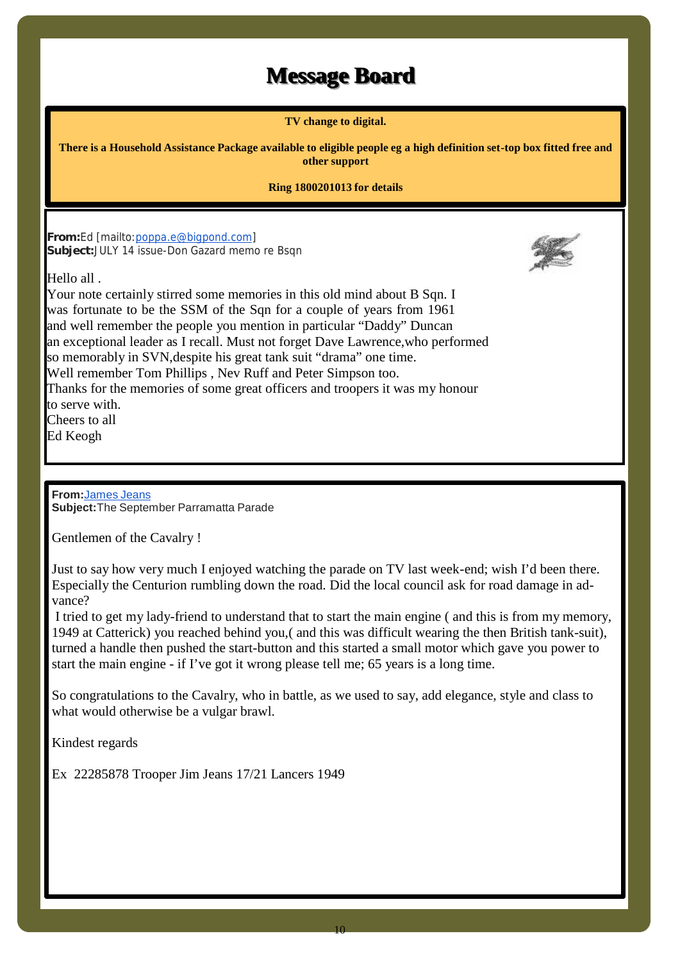# **Message Board**

**TV change to digital.**

There is a Household Assistance Package available to eligible people eg a high definition set-top box fitted free and **other support**

#### **Ring 1800201013 for details**

**From:**Ed [mailto:poppa.e@bigpond.com] **Subject:**JULY 14 issue-Don Gazard memo re Bsqn

Hello all .



Your note certainly stirred some memories in this old mind about B Sqn. I was fortunate to be the SSM of the Sqn for a couple of years from 1961 and well remember the people you mention in particular "Daddy" Duncan an exceptional leader as I recall. Must not forget Dave Lawrence,who performed so memorably in SVN,despite his great tank suit "drama" one time. Well remember Tom Phillips , Nev Ruff and Peter Simpson too. Thanks for the memories of some great officers and troopers it was my honour to serve with. Cheers to all Ed Keogh

**From:**James Jeans **Subject:**The September Parramatta Parade

Gentlemen of the Cavalry !

Just to say how very much I enjoyed watching the parade on TV last week-end; wish I'd been there. Especially the Centurion rumbling down the road. Did the local council ask for road damage in ad vance?

I tried to get my lady-friend to understand that to start the main engine ( and this is from my memory, 1949 at Catterick) you reached behind you,( and this was difficult wearing the then British tank-suit), turned a handle then pushed the start-button and this started a small motor which gave you power to start the main engine - if I've got it wrong please tell me; 65 years is a long time.

So congratulations to the Cavalry, who in battle, as we used to say, add elegance, style and class to what would otherwise be a vulgar brawl.

Kindest regards

Ex 22285878 Trooper Jim Jeans 17/21 Lancers 1949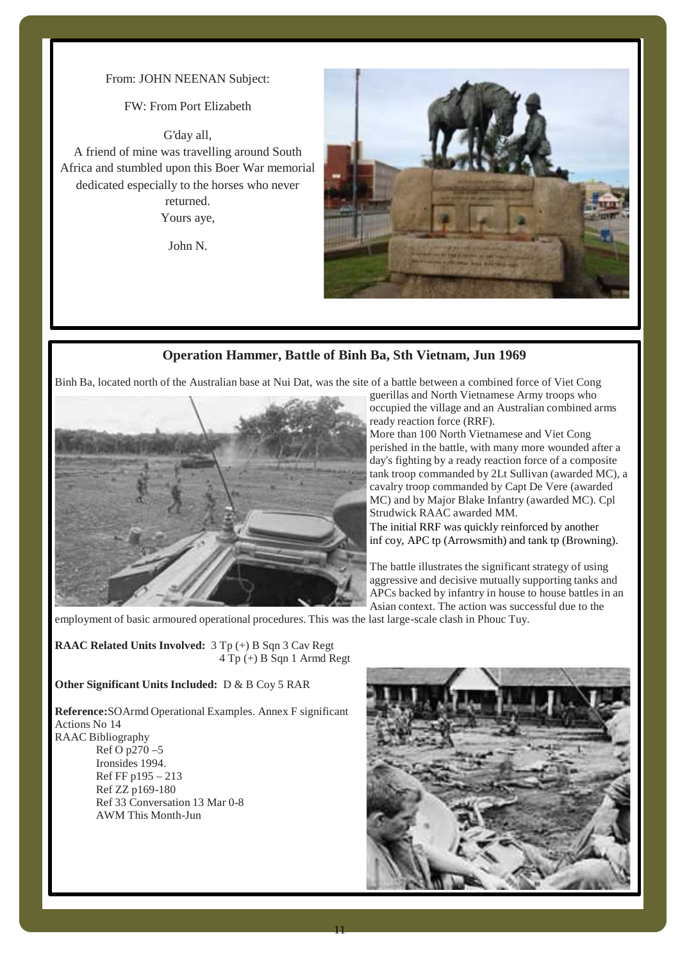#### From: JOHN NEENAN Subject:

#### FW: From Port Elizabeth

G'day all, A friend of mine was travelling around South Africa and stumbled upon this Boer War memorial dedicated especially to the horses who never returned. Yours aye,

John N.



#### **Operation Hammer, Battle of Binh Ba, Sth Vietnam, Jun 1969**

Binh Ba, located north of the Australian base at Nui Dat, was the site of a battle between a combined force of Viet Cong



guerillas and North Vietnamese Army troops who occupied the village and an Australian combined arms ready reaction force (RRF).

More than 100 North Vietnamese and Viet Cong perished in the battle, with many more wounded after a day's fighting by a ready reaction force of a composite tank troop commanded by 2Lt Sullivan (awarded MC), a cavalry troop commanded by Capt De Vere (awarded MC) and by Major Blake Infantry (awarded MC). Cpl Strudwick RAAC awarded MM.

The initial RRF was quickly reinforced by another inf coy, APC tp (Arrowsmith) and tank tp (Browning).

The battle illustrates the significant strategy of using aggressive and decisive mutually supporting tanks and APCs backed by infantry in house to house battles in an Asian context. The action was successful due to the

employment of basic armoured operational procedures. This was the last large-scale clash in Phouc Tuy.

**RAAC Related Units Involved:** 3 Tp (+) B Sqn 3 Cav Regt 4 Tp (+) B Sqn 1 Armd Regt

#### **Other Significant Units Included:** D & B Coy 5 RAR

**Reference:**SOArmd Operational Examples. Annex F significant Actions No 14 RAAC Bibliography Ref O p270 –5 Ironsides 1994. Ref FF p195 – 213 Ref ZZ p169-180 Ref 33 Conversation 13 Mar 0-8 AWM This Month-Jun

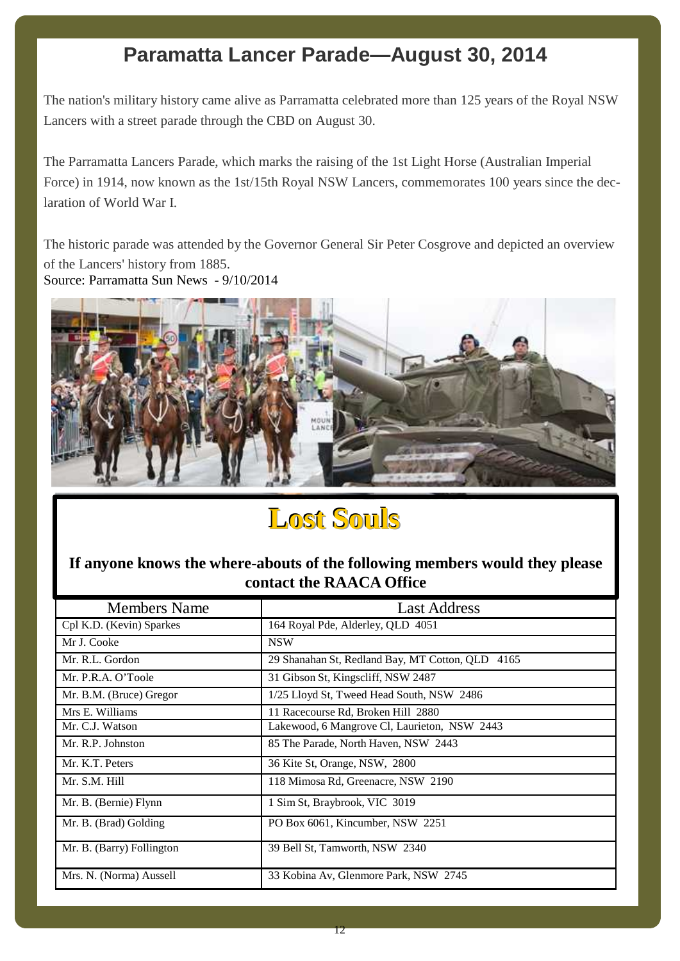# **Paramatta Lancer Parade—August 30, 2014**

The nation's military history came alive as Parramatta celebrated more than 125 years of the Royal NSW Lancers with a street parade through the CBD on August 30.

The Parramatta Lancers Parade, which marks the raising of the 1st Light Horse (Australian Imperial Force) in 1914, now known as the 1st/15th Royal NSW Lancers, commemorates 100 years since the declaration of World War I.

The historic parade was attended by the Governor General Sir Peter Cosgrove and depicted an overview of the Lancers' history from 1885. Source: Parramatta Sun News - 9/10/2014



# **Lost Souls**

### **If anyone knows the where-abouts of the following members would they please contact the RAACA Office**

| <b>Members Name</b>       | <b>Last Address</b>                                 |
|---------------------------|-----------------------------------------------------|
| Cpl K.D. (Kevin) Sparkes  | 164 Royal Pde, Alderley, QLD 4051                   |
| Mr J. Cooke               | <b>NSW</b>                                          |
| Mr. R.L. Gordon           | 29 Shanahan St, Redland Bay, MT Cotton, QLD<br>4165 |
| Mr. P.R.A. O'Toole        | 31 Gibson St, Kingscliff, NSW 2487                  |
| Mr. B.M. (Bruce) Gregor   | 1/25 Lloyd St, Tweed Head South, NSW 2486           |
| Mrs E. Williams           | 11 Racecourse Rd, Broken Hill 2880                  |
| Mr. C.J. Watson           | Lakewood, 6 Mangrove Cl, Laurieton, NSW 2443        |
| Mr. R.P. Johnston         | 85 The Parade, North Haven, NSW 2443                |
| Mr. K.T. Peters           | 36 Kite St, Orange, NSW, 2800                       |
| Mr. S.M. Hill             | 118 Mimosa Rd, Greenacre, NSW 2190                  |
| Mr. B. (Bernie) Flynn     | 1 Sim St, Braybrook, VIC 3019                       |
| Mr. B. (Brad) Golding     | PO Box 6061, Kincumber, NSW 2251                    |
| Mr. B. (Barry) Follington | 39 Bell St, Tamworth, NSW 2340                      |
| Mrs. N. (Norma) Aussell   | 33 Kobina Av, Glenmore Park, NSW 2745               |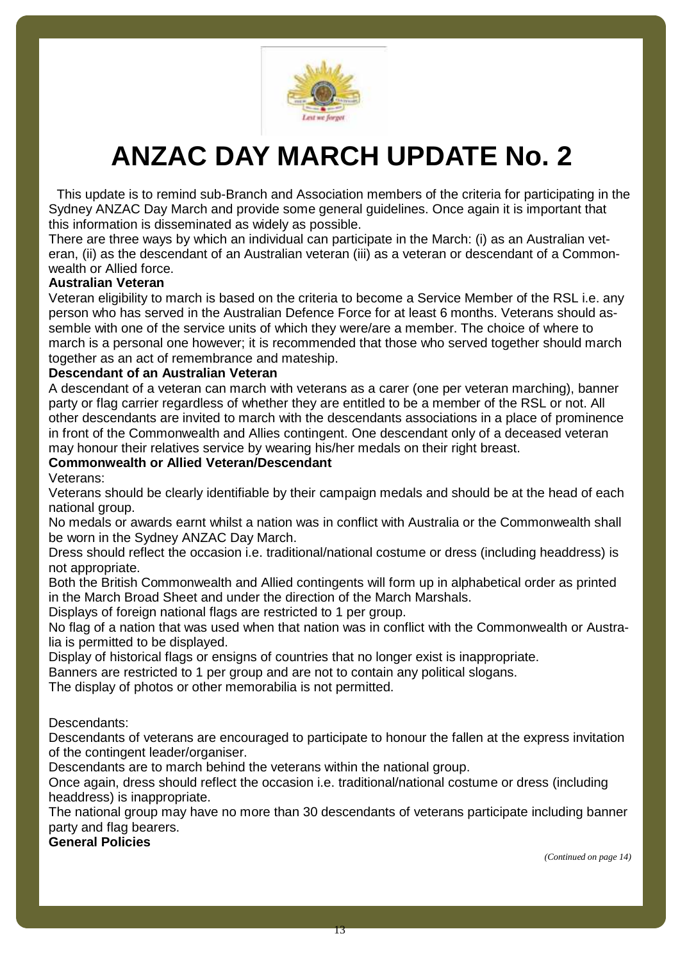

# **ANZAC DAY MARCH UPDATE No. 2**

This update is to remind sub-Branch and Association members of the criteria for participating in the Sydney ANZAC Day March and provide some general guidelines. Once again it is important that this information is disseminated as widely as possible.

There are three ways by which an individual can participate in the March: (i) as an Australian vet eran, (ii) as the descendant of an Australian veteran (iii) as a veteran or descendant of a Common wealth or Allied force.

#### **Australian Veteran**

Veteran eligibility to march is based on the criteria to become a Service Member of the RSL i.e. any person who has served in the Australian Defence Force for at least 6 months. Veterans should assemble with one of the service units of which they were/are a member. The choice of where to march is a personal one however; it is recommended that those who served together should march together as an act of remembrance and mateship.

#### **Descendant of an Australian Veteran**

A descendant of a veteran can march with veterans as a carer (one per veteran marching), banner party or flag carrier regardless of whether they are entitled to be a member of the RSL or not. All other descendants are invited to march with the descendants associations in a place of prominence in front of the Commonwealth and Allies contingent. One descendant only of a deceased veteran may honour their relatives service by wearing his/her medals on their right breast.

#### **Commonwealth or Allied Veteran/Descendant**

Veterans:

Veterans should be clearly identifiable by their campaign medals and should be at the head of each national group.

No medals or awards earnt whilst a nation was in conflict with Australia or the Commonwealth shall be worn in the Sydney ANZAC Day March.

Dress should reflect the occasion i.e. traditional/national costume or dress (including headdress) is not appropriate.

Both the British Commonwealth and Allied contingents will form up in alphabetical order as printed in the March Broad Sheet and under the direction of the March Marshals.

Displays of foreign national flags are restricted to 1 per group.

No flag of a nation that was used when that nation was in conflict with the Commonwealth or Australia is permitted to be displayed.

Display of historical flags or ensigns of countries that no longer exist is inappropriate.

Banners are restricted to 1 per group and are not to contain any political slogans.

The display of photos or other memorabilia is not permitted.

Descendants:

Descendants of veterans are encouraged to participate to honour the fallen at the express invitation of the contingent leader/organiser.

Descendants are to march behind the veterans within the national group.

Once again, dress should reflect the occasion i.e. traditional/national costume or dress (including headdress) is inappropriate.

The national group may have no more than 30 descendants of veterans participate including banner party and flag bearers.

**General Policies**

*(Continued on page 14)*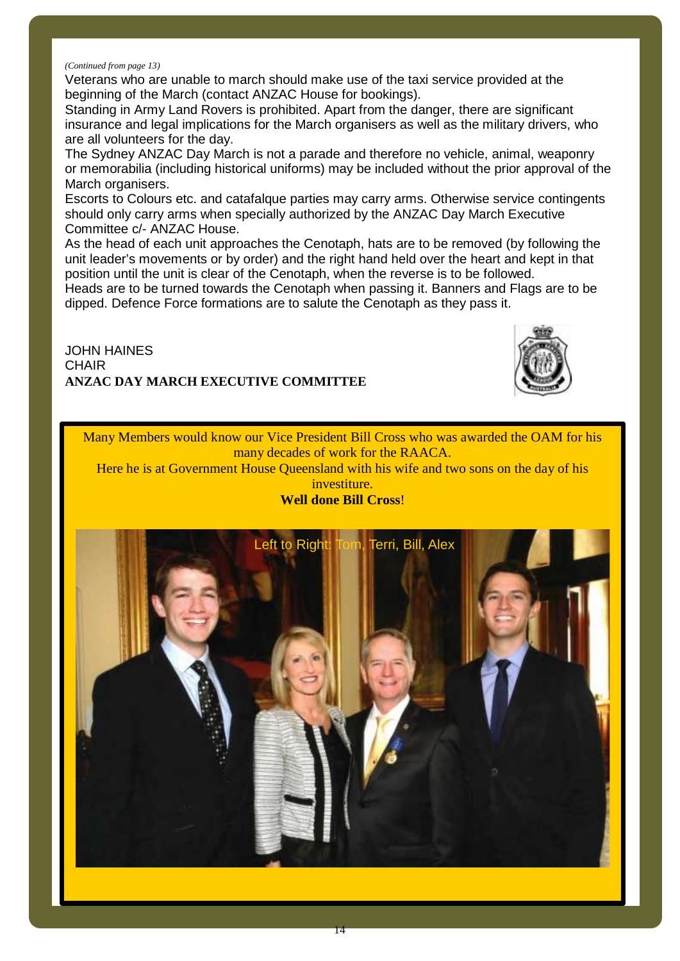#### *(Continued from page 13)*

Veterans who are unable to march should make use of the taxi service provided at the beginning of the March (contact ANZAC House for bookings).

Standing in Army Land Rovers is prohibited. Apart from the danger, there are significant insurance and legal implications for the March organisers as well as the military drivers, who are all volunteers for the day.

The Sydney ANZAC Day March is not a parade and therefore no vehicle, animal, weaponry or memorabilia (including historical uniforms) may be included without the prior approval of the March organisers.

Escorts to Colours etc. and catafalque parties may carry arms. Otherwise service contingents should only carry arms when specially authorized by the ANZAC Day March Executive Committee c/- ANZAC House.

As the head of each unit approaches the Cenotaph, hats are to be removed (by following the unit leader's movements or by order) and the right hand held over the heart and kept in that position until the unit is clear of the Cenotaph, when the reverse is to be followed.

Heads are to be turned towards the Cenotaph when passing it. Banners and Flags are to be dipped. Defence Force formations are to salute the Cenotaph as they pass it.

JOHN HAINES **CHAIR ANZAC DAY MARCH EXECUTIVE COMMITTEE**



Many Members would know our Vice President Bill Cross who was awarded the OAM for his many decades of work for the RAACA.

Here he is at Government House Queensland with his wife and two sons on the day of his investiture.

#### **Well done Bill Cross**!

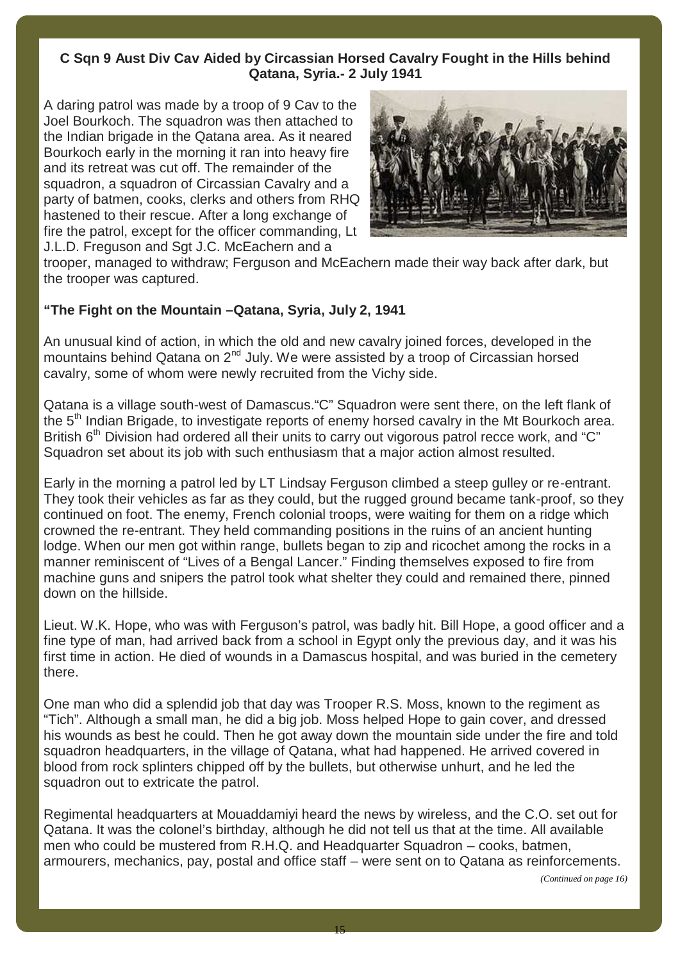### **C Sqn 9 Aust Div Cav Aided by Circassian Horsed Cavalry Fought in the Hills behind Qatana, Syria.- 2 July 1941**

A daring patrol was made by a troop of 9 Cav to the Joel Bourkoch. The squadron was then attached to the Indian brigade in the Qatana area. As it neared Bourkoch early in the morning it ran into heavy fire and its retreat was cut off. The remainder of the squadron, a squadron of Circassian Cavalry and a party of batmen, cooks, clerks and others from RHQ hastened to their rescue. After a long exchange of fire the patrol, except for the officer commanding, Lt J.L.D. Freguson and Sgt J.C. McEachern and a



trooper, managed to withdraw; Ferguson and McEachern made their way back after dark, but the trooper was captured.

#### **"The Fight on the Mountain –Qatana, Syria, July 2, 1941**

An unusual kind of action, in which the old and new cavalry joined forces, developed in the mountains behind Qatana on 2<sup>nd</sup> July. We were assisted by a troop of Circassian horsed cavalry, some of whom were newly recruited from the Vichy side.

Qatana is a village south-west of Damascus."C" Squadron were sent there, on the left flank of the 5<sup>th</sup> Indian Brigade, to investigate reports of enemy horsed cavalry in the Mt Bourkoch area. British 6<sup>th</sup> Division had ordered all their units to carry out vigorous patrol recce work, and "C" Squadron set about its job with such enthusiasm that a major action almost resulted.

Early in the morning a patrol led by LT Lindsay Ferguson climbed a steep gulley or re-entrant. They took their vehicles as far as they could, but the rugged ground became tank-proof, so they continued on foot. The enemy, French colonial troops, were waiting for them on a ridge which crowned the re-entrant. They held commanding positions in the ruins of an ancient hunting lodge. When our men got within range, bullets began to zip and ricochet among the rocks in a manner reminiscent of "Lives of a Bengal Lancer." Finding themselves exposed to fire from machine guns and snipers the patrol took what shelter they could and remained there, pinned down on the hillside.

Lieut. W.K. Hope, who was with Ferguson's patrol, was badly hit. Bill Hope, a good officer and a fine type of man, had arrived back from a school in Egypt only the previous day, and it was his first time in action. He died of wounds in a Damascus hospital, and was buried in the cemetery there.

One man who did a splendid job that day was Trooper R.S. Moss, known to the regiment as "Tich". Although a small man, he did a big job. Moss helped Hope to gain cover, and dressed his wounds as best he could. Then he got away down the mountain side under the fire and told squadron headquarters, in the village of Qatana, what had happened. He arrived covered in blood from rock splinters chipped off by the bullets, but otherwise unhurt, and he led the squadron out to extricate the patrol.

Regimental headquarters at Mouaddamiyi heard the news by wireless, and the C.O. set out for Qatana. It was the colonel's birthday, although he did not tell us that at the time. All available men who could be mustered from R.H.Q. and Headquarter Squadron – cooks, batmen, armourers, mechanics, pay, postal and office staff – were sent on to Qatana as reinforcements.

*(Continued on page 16)*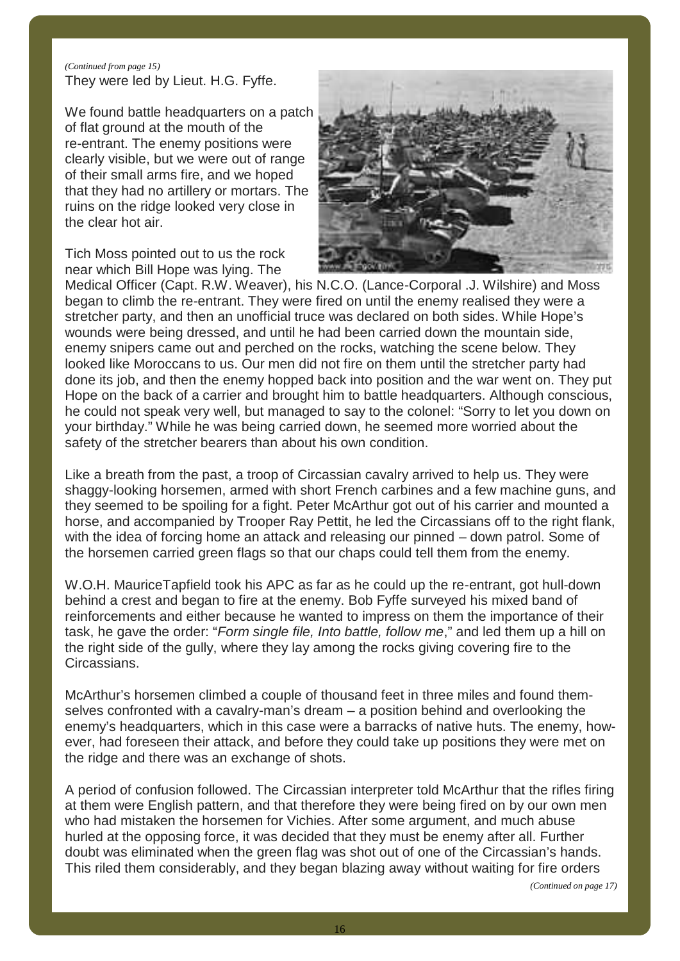#### *(Continued from page 15)* They were led by Lieut. H.G. Fyffe.

We found battle headquarters on a patch of flat ground at the mouth of the re-entrant. The enemy positions were clearly visible, but we were out of range of their small arms fire, and we hoped that they had no artillery or mortars. The ruins on the ridge looked very close in the clear hot air.

Tich Moss pointed out to us the rock near which Bill Hope was lying. The



Medical Officer (Capt. R.W. Weaver), his N.C.O. (Lance-Corporal .J. Wilshire) and Moss began to climb the re-entrant. They were fired on until the enemy realised they were a stretcher party, and then an unofficial truce was declared on both sides. While Hope's wounds were being dressed, and until he had been carried down the mountain side, enemy snipers came out and perched on the rocks, watching the scene below. They looked like Moroccans to us. Our men did not fire on them until the stretcher party had done its job, and then the enemy hopped back into position and the war went on. They put Hope on the back of a carrier and brought him to battle headquarters. Although conscious, he could not speak very well, but managed to say to the colonel: "Sorry to let you down on your birthday." While he was being carried down, he seemed more worried about the safety of the stretcher bearers than about his own condition.

Like a breath from the past, a troop of Circassian cavalry arrived to help us. They were shaggy-looking horsemen, armed with short French carbines and a few machine guns, and they seemed to be spoiling for a fight. Peter McArthur got out of his carrier and mounted a horse, and accompanied by Trooper Ray Pettit, he led the Circassians off to the right flank, with the idea of forcing home an attack and releasing our pinned – down patrol. Some of the horsemen carried green flags so that our chaps could tell them from the enemy.

W.O.H. MauriceTapfield took his APC as far as he could up the re-entrant, got hull-down behind a crest and began to fire at the enemy. Bob Fyffe surveyed his mixed band of reinforcements and either because he wanted to impress on them the importance of their task, he gave the order: "*Form single file, Into battle, follow me*," and led them up a hill on the right side of the gully, where they lay among the rocks giving covering fire to the Circassians.

McArthur's horsemen climbed a couple of thousand feet in three miles and found them selves confronted with a cavalry-man's dream – a position behind and overlooking the enemy's headquarters, which in this case were a barracks of native huts. The enemy, how ever, had foreseen their attack, and before they could take up positions they were met on the ridge and there was an exchange of shots.

A period of confusion followed. The Circassian interpreter told McArthur that the rifles firing at them were English pattern, and that therefore they were being fired on by our own men who had mistaken the horsemen for Vichies. After some argument, and much abuse hurled at the opposing force, it was decided that they must be enemy after all. Further doubt was eliminated when the green flag was shot out of one of the Circassian's hands. This riled them considerably, and they began blazing away without waiting for fire orders

*(Continued on page 17)*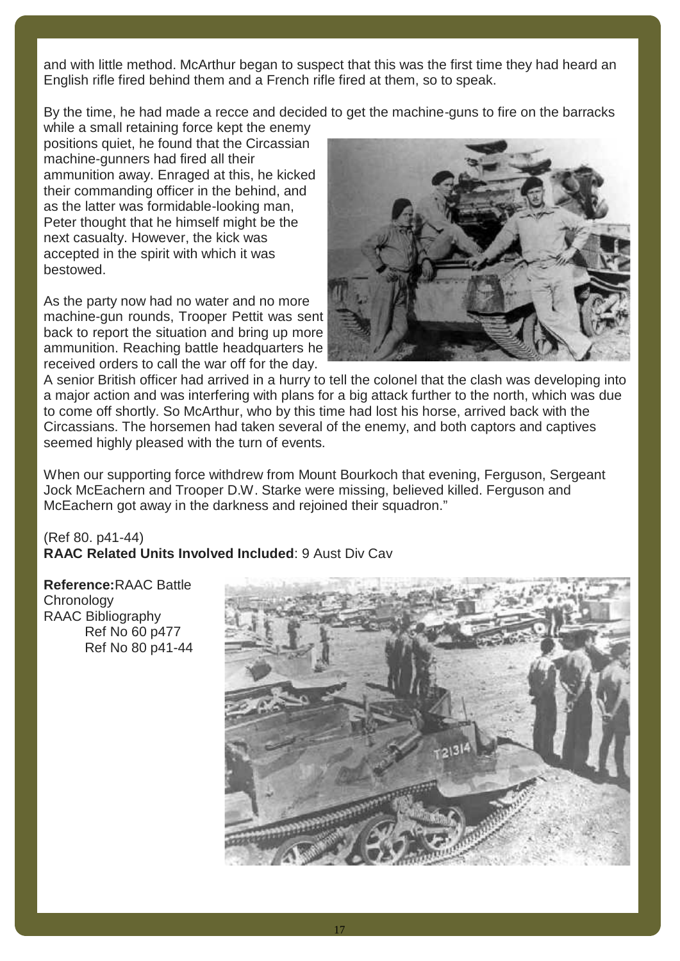and with little method. McArthur began to suspect that this was the first time they had heard an English rifle fired behind them and a French rifle fired at them, so to speak.

By the time, he had made a recce and decided to get the machine-guns to fire on the barracks

while a small retaining force kept the enemy positions quiet, he found that the Circassian machine-gunners had fired all their ammunition away. Enraged at this, he kicked their commanding officer in the behind, and as the latter was formidable-looking man, Peter thought that he himself might be the next casualty. However, the kick was accepted in the spirit with which it was bestowed.

As the party now had no water and no more machine-gun rounds, Trooper Pettit was sent back to report the situation and bring up more ammunition. Reaching battle headquarters he received orders to call the war off for the day.



A senior British officer had arrived in a hurry to tell the colonel that the clash was developing into a major action and was interfering with plans for a big attack further to the north, which was due to come off shortly. So McArthur, who by this time had lost his horse, arrived back with the Circassians. The horsemen had taken several of the enemy, and both captors and captives seemed highly pleased with the turn of events.

When our supporting force withdrew from Mount Bourkoch that evening, Ferguson, Sergeant Jock McEachern and Trooper D.W. Starke were missing, believed killed. Ferguson and McEachern got away in the darkness and rejoined their squadron."

#### (Ref 80. p41-44) **RAAC Related Units Involved Included**: 9 Aust Div Cav

**Reference:**RAAC Battle **Chronology** RAAC Bibliography Ref No 60 p477 Ref No 80 p41-44

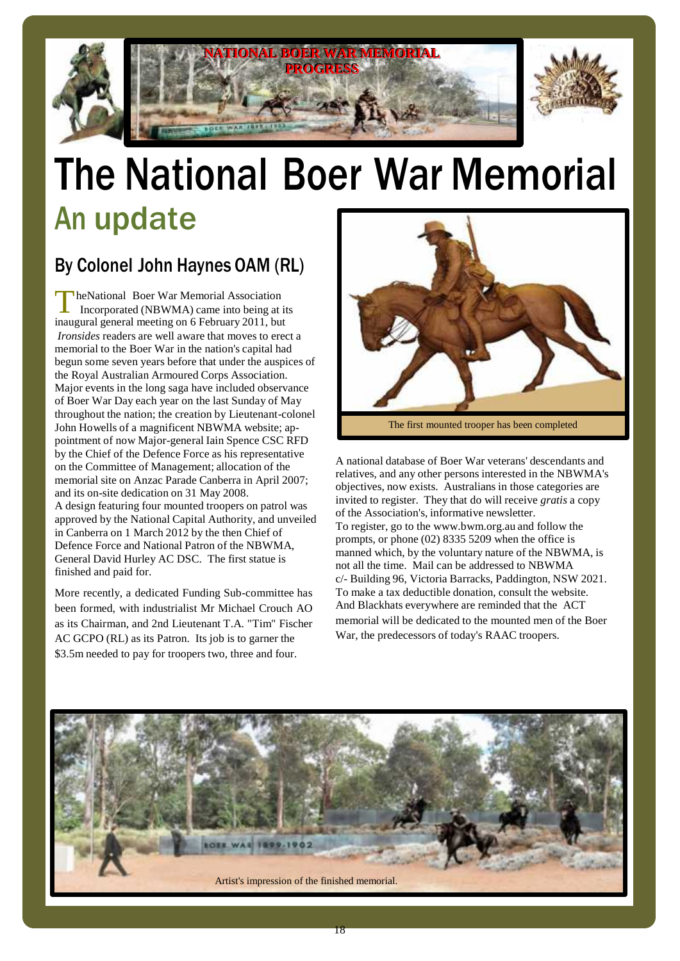

# The National Boer War Memorial An update

## By Colonel John Haynes OAM (RL)

TheNational Boer War Memorial Association<br>Incorporated (NBWMA) came into being at its Incorporated (NBWMA) came into being at its inaugural general meeting on 6 February 2011, but *Ironsides* readers are well aware that moves to erect a memorial to the Boer War in the nation's capital had begun some seven years before that under the auspices of the Royal Australian Armoured Corps Association. Major events in the long saga have included observance of Boer War Day each year on the last Sunday of May throughout the nation; the creation by Lieutenant-colonel John Howells of a magnificent NBWMA website; ap pointment of now Major-general Iain Spence CSC RFD by the Chief of the Defence Force as his representative on the Committee of Management; allocation of the memorial site on Anzac Parade Canberra in April 2007; and its on-site dedication on 31 May 2008. A design featuring four mounted troopers on patrol was approved by the National Capital Authority, and unveiled in Canberra on 1 March 2012 by the then Chief of Defence Force and National Patron of the NBWMA, General David Hurley AC DSC. The first statue is finished and paid for.

More recently, a dedicated Funding Sub-committee has been formed, with industrialist Mr Michael Crouch AO as its Chairman, and 2nd Lieutenant T.A. "Tim" Fischer AC GCPO (RL) as its Patron. Its job is to garner the \$3.5m needed to pay for troopers two, three and four.



The first mounted trooper has been completed

A national database of Boer War veterans' descendants and relatives, and any other persons interested in the NBWMA's objectives, now exists. Australians in those categories are invited to register. They that do will receive *gratis* a copy of the Association's, informative newsletter. To register, go to the www.bwm.org.au and follow the prompts, or phone (02) 8335 5209 when the office is manned which, by the voluntary nature of the NBWMA, is not all the time. Mail can be addressed to NBWMA c/- Building 96, Victoria Barracks, Paddington, NSW 2021. To make a tax deductible donation, consult the website. And Blackhats everywhere are reminded that the ACT memorial will be dedicated to the mounted men of the Boer War, the predecessors of today's RAAC troopers.

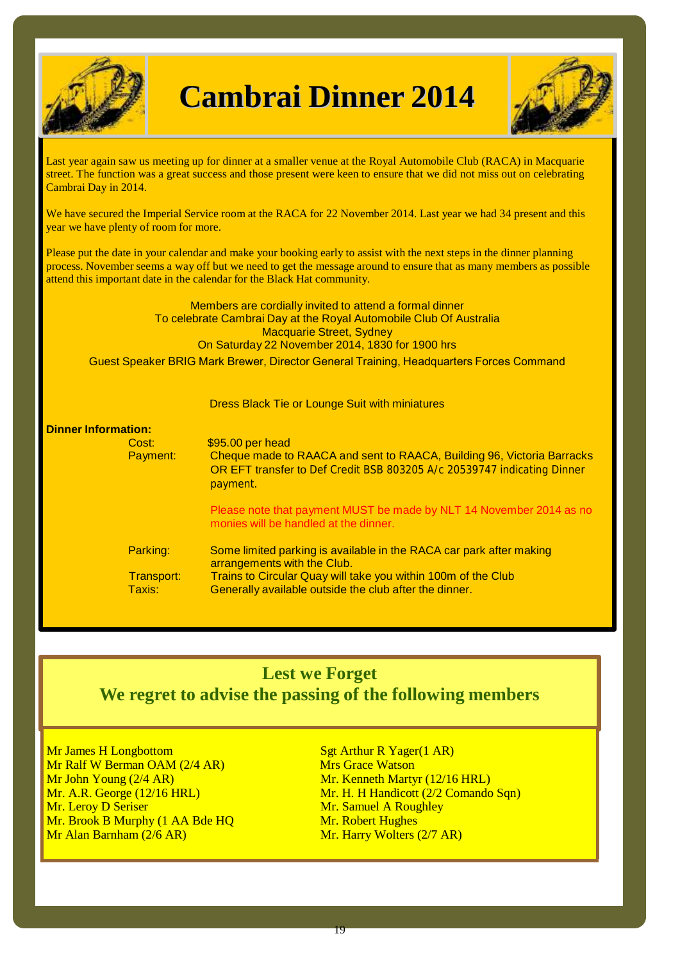

# **Cambrai Dinner 2014**



Last year again saw us meeting up for dinner at a smaller venue at the Royal Automobile Club (RACA) in Macquarie street. The function was a great success and those present were keen to ensure that we did not miss out on celebrating Cambrai Day in 2014.

We have secured the Imperial Service room at the RACA for 22 November 2014. Last year we had 34 present and this year we have plenty of room for more.

Please put the date in your calendar and make your booking early to assist with the next steps in the dinner planning process. November seems a way off but we need to get the message around to ensure that as many members as possible attend this important date in the calendar for the Black Hat community.

> Members are cordially invited to attend a formal dinner To celebrate Cambrai Day at the Royal Automobile Club Of Australia Macquarie Street, Sydney On Saturday 22 November 2014, 1830 for 1900 hrs

Guest Speaker BRIG Mark Brewer, Director General Training, Headquarters Forces Command

Dress Black Tie or Lounge Suit with miniatures

## **Dinner Information:**

Cost:<br>
Payment: \$95.00 per head<br>
Payment: Cheque made to Cheque made to RAACA and sent to RAACA, Building 96, Victoria Barracks OR EFT transfer to Def Credit BSB 803205 A/c 20539747 indicating Dinner payment. Please note that payment MUST be made by NLT 14 November 2014 as no monies will be handled at the dinner.

| Parking:   | Some limited parking is available in the RACA car park after making |
|------------|---------------------------------------------------------------------|
|            | arrangements with the Club.                                         |
| Transport: | Trains to Circular Quay will take you within 100m of the Club       |
| Taxis:     | Generally available outside the club after the dinner.              |
|            |                                                                     |

### **Lest we Forget We regret to advise the passing of the following members**

Mr James H Longbottom Sgt Arthur R Yager(1 AR) Mr Ralf W Berman OAM (2/4 AR) Mrs Grace Watson Mr John Young (2/4 AR)<br>Mr. A.R. George (12/16 HRL)<br>Mr. H. H Handicott (2/2 Comando Mr. Leroy D Seriser Mr. Samuel A Roughley Mr. Brook B Murphy (1 AA Bde HQ Mr. Robert Hughes Mr Alan Barnham (2/6 AR) Mr. Harry Wolters (2/7 AR)

Mr. H. H Handicott (2/2 Comando Sqn)